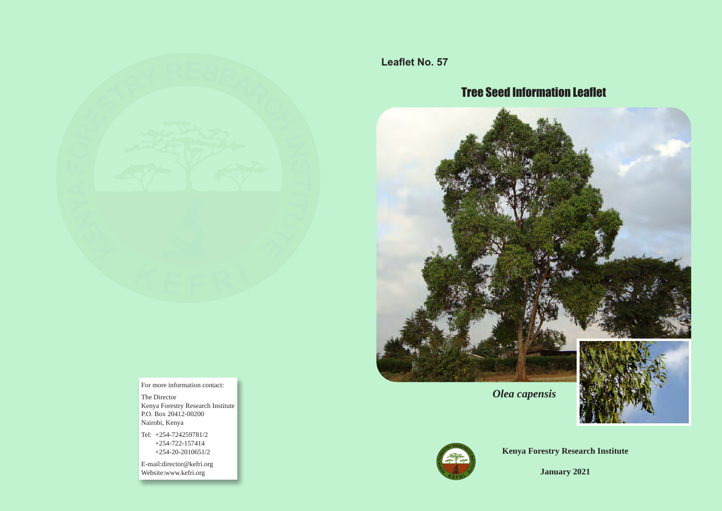

For more information contact:

The Director Kenya Forestry Research Institute P.O. Box 20412-00200 Nairobi, Kenya

Tel: +254-724259781/2 +254-722-157414 +254-20-2010651/2

E-mail:director@kefri.org Website:www.kefri.org

**Leaflet No. 57**

# Tree Seed Information Leaflet



*Olea capensis*





**Kenya Forestry Research Institute**

**January 2021**